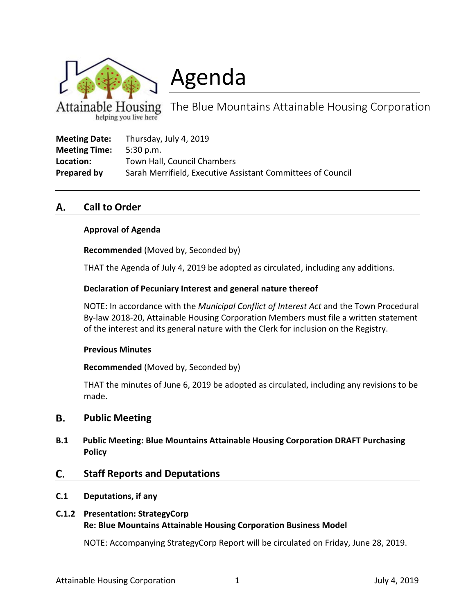

Agenda

**Cousing** The Blue Mountains Attainable Housing Corporation

| <b>Meeting Date:</b> | Thursday, July 4, 2019                                      |
|----------------------|-------------------------------------------------------------|
| <b>Meeting Time:</b> | 5:30 p.m.                                                   |
| Location:            | Town Hall, Council Chambers                                 |
| Prepared by          | Sarah Merrifield, Executive Assistant Committees of Council |

### **Call to Order** А.

# **Approval of Agenda**

**Recommended** (Moved by, Seconded by)

THAT the Agenda of July 4, 2019 be adopted as circulated, including any additions.

## **Declaration of Pecuniary Interest and general nature thereof**

NOTE: In accordance with the *Municipal Conflict of Interest Act* and the Town Procedural By-law 2018-20, Attainable Housing Corporation Members must file a written statement of the interest and its general nature with the Clerk for inclusion on the Registry.

## **Previous Minutes**

**Recommended** (Moved by, Seconded by)

THAT the minutes of June 6, 2019 be adopted as circulated, including any revisions to be made.

### В. **Public Meeting**

**B.1 Public Meeting: Blue Mountains Attainable Housing Corporation DRAFT Purchasing Policy** 

### C. **Staff Reports and Deputations**

## **C.1 Deputations, if any**

# **C.1.2 Presentation: StrategyCorp Re: Blue Mountains Attainable Housing Corporation Business Model**

NOTE: Accompanying StrategyCorp Report will be circulated on Friday, June 28, 2019.